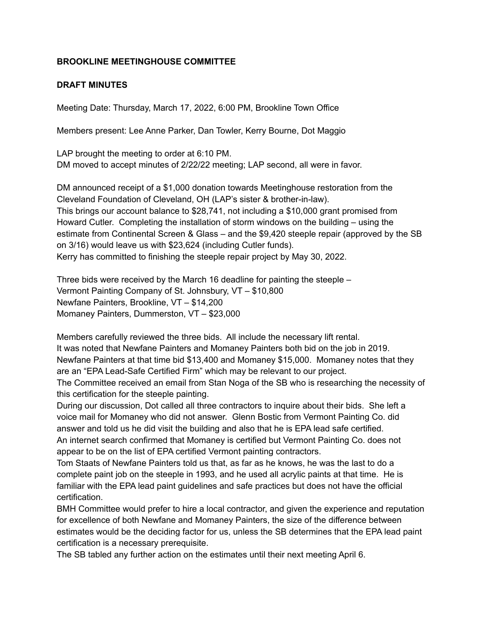## **BROOKLINE MEETINGHOUSE COMMITTEE**

## **DRAFT MINUTES**

Meeting Date: Thursday, March 17, 2022, 6:00 PM, Brookline Town Office

Members present: Lee Anne Parker, Dan Towler, Kerry Bourne, Dot Maggio

LAP brought the meeting to order at 6:10 PM. DM moved to accept minutes of 2/22/22 meeting; LAP second, all were in favor.

DM announced receipt of a \$1,000 donation towards Meetinghouse restoration from the Cleveland Foundation of Cleveland, OH (LAP's sister & brother-in-law). This brings our account balance to \$28,741, not including a \$10,000 grant promised from Howard Cutler. Completing the installation of storm windows on the building – using the estimate from Continental Screen & Glass – and the \$9,420 steeple repair (approved by the SB on 3/16) would leave us with \$23,624 (including Cutler funds). Kerry has committed to finishing the steeple repair project by May 30, 2022.

Three bids were received by the March 16 deadline for painting the steeple – Vermont Painting Company of St. Johnsbury, VT – \$10,800 Newfane Painters, Brookline, VT – \$14,200 Momaney Painters, Dummerston, VT – \$23,000

Members carefully reviewed the three bids. All include the necessary lift rental. It was noted that Newfane Painters and Momaney Painters both bid on the job in 2019. Newfane Painters at that time bid \$13,400 and Momaney \$15,000. Momaney notes that they are an "EPA Lead-Safe Certified Firm" which may be relevant to our project.

The Committee received an email from Stan Noga of the SB who is researching the necessity of this certification for the steeple painting.

During our discussion, Dot called all three contractors to inquire about their bids. She left a voice mail for Momaney who did not answer. Glenn Bostic from Vermont Painting Co. did answer and told us he did visit the building and also that he is EPA lead safe certified. An internet search confirmed that Momaney is certified but Vermont Painting Co. does not appear to be on the list of EPA certified Vermont painting contractors.

Tom Staats of Newfane Painters told us that, as far as he knows, he was the last to do a complete paint job on the steeple in 1993, and he used all acrylic paints at that time. He is familiar with the EPA lead paint guidelines and safe practices but does not have the official certification.

BMH Committee would prefer to hire a local contractor, and given the experience and reputation for excellence of both Newfane and Momaney Painters, the size of the difference between estimates would be the deciding factor for us, unless the SB determines that the EPA lead paint certification is a necessary prerequisite.

The SB tabled any further action on the estimates until their next meeting April 6.